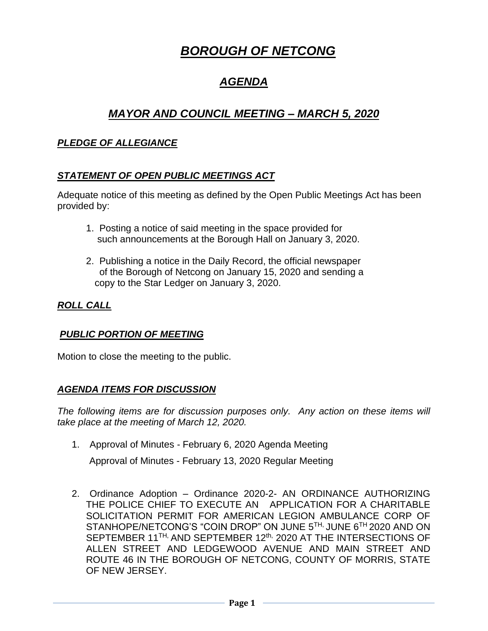# *BOROUGH OF NETCONG*

## *AGENDA*

## *MAYOR AND COUNCIL MEETING – MARCH 5, 2020*

#### *PLEDGE OF ALLEGIANCE*

### *STATEMENT OF OPEN PUBLIC MEETINGS ACT*

Adequate notice of this meeting as defined by the Open Public Meetings Act has been provided by:

- 1. Posting a notice of said meeting in the space provided for such announcements at the Borough Hall on January 3, 2020.
- 2. Publishing a notice in the Daily Record, the official newspaper of the Borough of Netcong on January 15, 2020 and sending a copy to the Star Ledger on January 3, 2020.

### *ROLL CALL*

#### *PUBLIC PORTION OF MEETING*

Motion to close the meeting to the public.

#### *AGENDA ITEMS FOR DISCUSSION*

*The following items are for discussion purposes only. Any action on these items will take place at the meeting of March 12, 2020.* 

1. Approval of Minutes - February 6, 2020 Agenda Meeting

Approval of Minutes - February 13, 2020 Regular Meeting

2. Ordinance Adoption – Ordinance 2020-2- AN ORDINANCE AUTHORIZING THE POLICE CHIEF TO EXECUTE AN APPLICATION FOR A CHARITABLE SOLICITATION PERMIT FOR AMERICAN LEGION AMBULANCE CORP OF STANHOPE/NETCONG'S "COIN DROP" ON JUNE 5<sup>TH,</sup> JUNE 6<sup>TH</sup> 2020 AND ON SEPTEMBER 11<sup>TH,</sup> AND SEPTEMBER 12<sup>th,</sup> 2020 AT THE INTERSECTIONS OF ALLEN STREET AND LEDGEWOOD AVENUE AND MAIN STREET AND ROUTE 46 IN THE BOROUGH OF NETCONG, COUNTY OF MORRIS, STATE OF NEW JERSEY.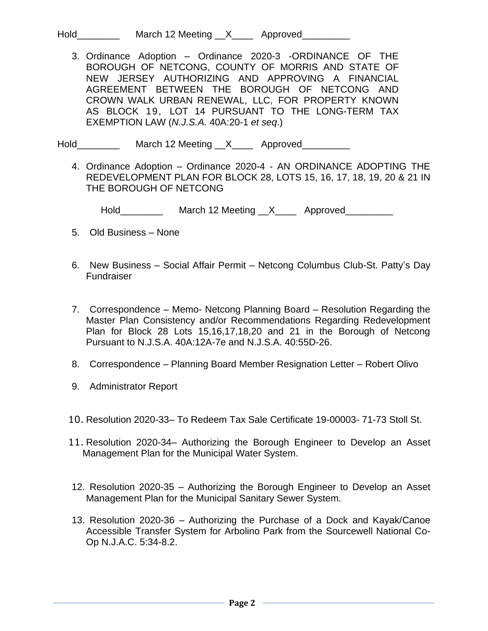Hold\_\_\_\_\_\_\_\_\_\_\_\_ March 12 Meeting \_\_X\_\_\_\_\_ Approved\_\_\_\_\_\_\_

3. Ordinance Adoption – Ordinance 2020-3 -ORDINANCE OF THE BOROUGH OF NETCONG, COUNTY OF MORRIS AND STATE OF NEW JERSEY AUTHORIZING AND APPROVING A FINANCIAL AGREEMENT BETWEEN THE BOROUGH OF NETCONG AND CROWN WALK URBAN RENEWAL, LLC, FOR PROPERTY KNOWN AS BLOCK 19, LOT 14 PURSUANT TO THE LONG-TERM TAX EXEMPTION LAW (*N.J.S.A.* 40A:20-1 *et seq*.)

Hold\_\_\_\_\_\_\_\_\_\_\_ March 12 Meeting \_\_X\_\_\_\_ Approved\_\_\_\_\_\_\_\_

4. Ordinance Adoption – Ordinance 2020-4 - AN ORDINANCE ADOPTING THE REDEVELOPMENT PLAN FOR BLOCK 28, LOTS 15, 16, 17, 18, 19, 20 & 21 IN THE BOROUGH OF NETCONG

Hold\_\_\_\_\_\_\_\_\_\_\_\_ March 12 Meeting \_\_X\_\_\_\_\_ Approved\_\_\_\_\_\_\_\_\_

- 5. Old Business None
- 6. New Business Social Affair Permit Netcong Columbus Club-St. Patty's Day Fundraiser
- 7. Correspondence Memo- Netcong Planning Board Resolution Regarding the Master Plan Consistency and/or Recommendations Regarding Redevelopment Plan for Block 28 Lots 15,16,17,18,20 and 21 in the Borough of Netcong Pursuant to N.J.S.A. 40A:12A-7e and N.J.S.A. 40:55D-26.
- 8. Correspondence Planning Board Member Resignation Letter Robert Olivo
- 9. Administrator Report
- 10. Resolution 2020-33– To Redeem Tax Sale Certificate 19-00003- 71-73 Stoll St.
- 11. Resolution 2020-34– Authorizing the Borough Engineer to Develop an Asset Management Plan for the Municipal Water System.
- 12. Resolution 2020-35 Authorizing the Borough Engineer to Develop an Asset Management Plan for the Municipal Sanitary Sewer System.
- 13. Resolution 2020-36 Authorizing the Purchase of a Dock and Kayak/Canoe Accessible Transfer System for Arbolino Park from the Sourcewell National Co-Op N.J.A.C. 5:34-8.2.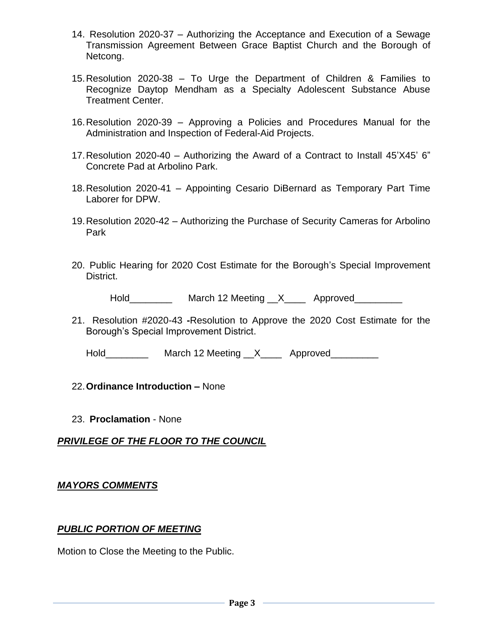- 14. Resolution 2020-37 Authorizing the Acceptance and Execution of a Sewage Transmission Agreement Between Grace Baptist Church and the Borough of Netcong.
- 15.Resolution 2020-38 To Urge the Department of Children & Families to Recognize Daytop Mendham as a Specialty Adolescent Substance Abuse Treatment Center.
- 16.Resolution 2020-39 Approving a Policies and Procedures Manual for the Administration and Inspection of Federal-Aid Projects.
- 17.Resolution 2020-40 Authorizing the Award of a Contract to Install 45'X45' 6" Concrete Pad at Arbolino Park.
- 18.Resolution 2020-41 Appointing Cesario DiBernard as Temporary Part Time Laborer for DPW.
- 19.Resolution 2020-42 Authorizing the Purchase of Security Cameras for Arbolino Park
- 20. Public Hearing for 2020 Cost Estimate for the Borough's Special Improvement District.

Hold\_\_\_\_\_\_\_\_\_\_\_\_ March 12 Meeting \_\_X\_\_\_\_\_ Approved\_\_\_\_\_\_\_\_\_

21. Resolution #2020-43 **-**Resolution to Approve the 2020 Cost Estimate for the Borough's Special Improvement District.

Hold\_\_\_\_\_\_\_\_\_\_\_ March 12 Meeting \_\_X\_\_\_\_\_ Approved\_\_\_\_\_\_\_\_\_

#### 22.**Ordinance Introduction –** None

23. **Proclamation** - None

#### *PRIVILEGE OF THE FLOOR TO THE COUNCIL*

#### *MAYORS COMMENTS*

#### *PUBLIC PORTION OF MEETING*

Motion to Close the Meeting to the Public.